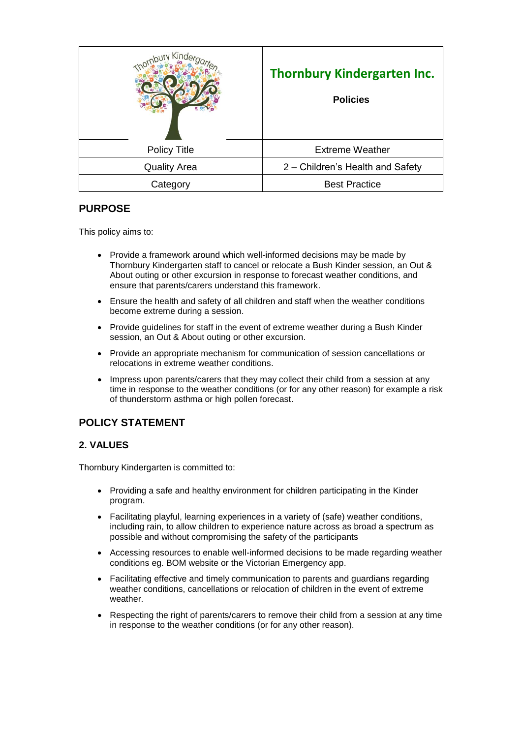|                     | <b>Thornbury Kindergarten Inc.</b><br><b>Policies</b> |
|---------------------|-------------------------------------------------------|
| <b>Policy Title</b> | <b>Extreme Weather</b>                                |
| <b>Quality Area</b> | 2 – Children's Health and Safety                      |
| Category            | <b>Best Practice</b>                                  |

# **PURPOSE**

This policy aims to:

- Provide a framework around which well-informed decisions may be made by Thornbury Kindergarten staff to cancel or relocate a Bush Kinder session, an Out & About outing or other excursion in response to forecast weather conditions, and ensure that parents/carers understand this framework.
- Ensure the health and safety of all children and staff when the weather conditions become extreme during a session.
- Provide guidelines for staff in the event of extreme weather during a Bush Kinder session, an Out & About outing or other excursion.
- Provide an appropriate mechanism for communication of session cancellations or relocations in extreme weather conditions.
- Impress upon parents/carers that they may collect their child from a session at any time in response to the weather conditions (or for any other reason) for example a risk of thunderstorm asthma or high pollen forecast.

# **POLICY STATEMENT**

## **2. VALUES**

Thornbury Kindergarten is committed to:

- Providing a safe and healthy environment for children participating in the Kinder program.
- Facilitating playful, learning experiences in a variety of (safe) weather conditions, including rain, to allow children to experience nature across as broad a spectrum as possible and without compromising the safety of the participants
- Accessing resources to enable well-informed decisions to be made regarding weather conditions eg. BOM website or the Victorian Emergency app.
- Facilitating effective and timely communication to parents and guardians regarding weather conditions, cancellations or relocation of children in the event of extreme weather.
- Respecting the right of parents/carers to remove their child from a session at any time in response to the weather conditions (or for any other reason).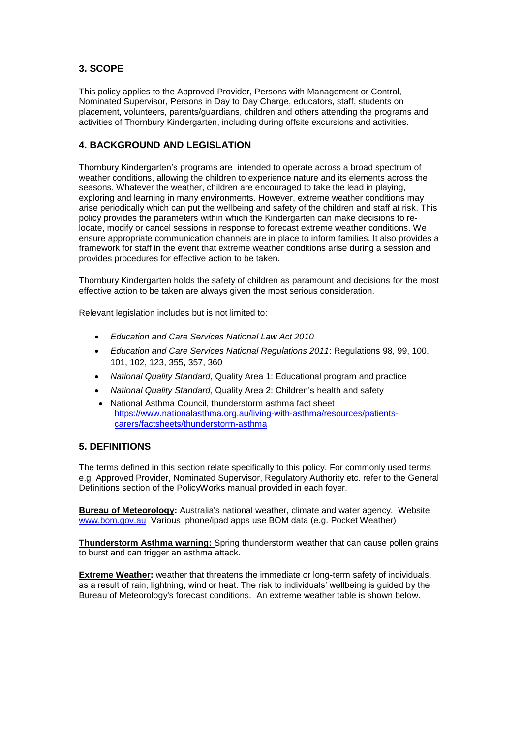## **3. SCOPE**

This policy applies to the Approved Provider, Persons with Management or Control, Nominated Supervisor, Persons in Day to Day Charge, educators, staff, students on placement, volunteers, parents/guardians, children and others attending the programs and activities of Thornbury Kindergarten, including during offsite excursions and activities.

## **4. BACKGROUND AND LEGISLATION**

Thornbury Kindergarten's programs are intended to operate across a broad spectrum of weather conditions, allowing the children to experience nature and its elements across the seasons. Whatever the weather, children are encouraged to take the lead in playing, exploring and learning in many environments. However, extreme weather conditions may arise periodically which can put the wellbeing and safety of the children and staff at risk. This policy provides the parameters within which the Kindergarten can make decisions to relocate, modify or cancel sessions in response to forecast extreme weather conditions. We ensure appropriate communication channels are in place to inform families. It also provides a framework for staff in the event that extreme weather conditions arise during a session and provides procedures for effective action to be taken.

Thornbury Kindergarten holds the safety of children as paramount and decisions for the most effective action to be taken are always given the most serious consideration.

Relevant legislation includes but is not limited to:

- *Education and Care Services National Law Act 2010*
- *Education and Care Services National Regulations 2011*: Regulations 98, 99, 100, 101, 102, 123, 355, 357, 360
- *National Quality Standard*, Quality Area 1: Educational program and practice
- *National Quality Standard*, Quality Area 2: Children's health and safety
- National Asthma Council, thunderstorm asthma fact sheet [https://www.nationalasthma.org.au/living-with-asthma/resources/patients](https://www.nationalasthma.org.au/living-with-asthma/resources/patients-carers/factsheets/thunderstorm-asthma)[carers/factsheets/thunderstorm-asthma](https://www.nationalasthma.org.au/living-with-asthma/resources/patients-carers/factsheets/thunderstorm-asthma)

## **5. DEFINITIONS**

The terms defined in this section relate specifically to this policy. For commonly used terms e.g. Approved Provider, Nominated Supervisor, Regulatory Authority etc. refer to the General Definitions section of the PolicyWorks manual provided in each foyer.

**Bureau of Meteorology:** Australia's national weather, climate and water agency. Website [www.bom.gov.au](http://www.google.com/url?q=http%3A%2F%2Fwww.bom.gov.au&sa=D&sntz=1&usg=AFQjCNHD5BQ0q2rNeanZAJ2L8Yeq0K8ZuQ) Various iphone/ipad apps use BOM data (e.g. Pocket Weather)

**Thunderstorm Asthma warning:** Spring thunderstorm weather that can cause pollen grains to burst and can trigger an asthma attack.

**Extreme Weather:** weather that threatens the immediate or long-term safety of individuals, as a result of rain, lightning, wind or heat. The risk to individuals' wellbeing is guided by the Bureau of Meteorology's forecast conditions. An extreme weather table is shown below.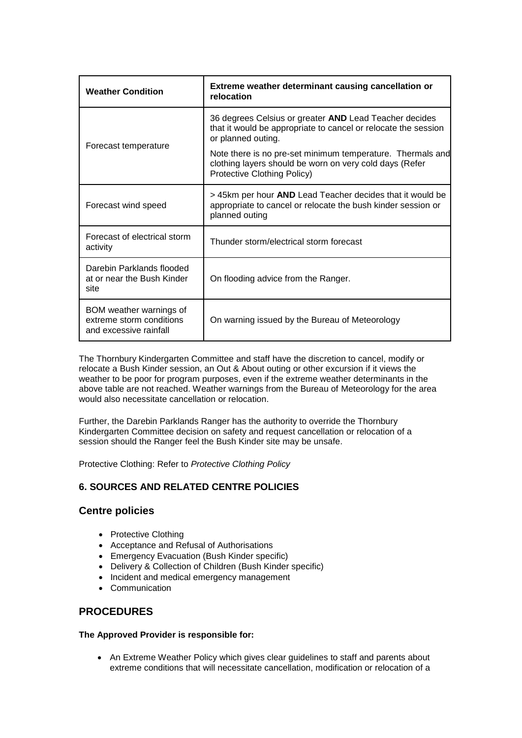| <b>Weather Condition</b>                                                      | Extreme weather determinant causing cancellation or<br>relocation                                                                                    |
|-------------------------------------------------------------------------------|------------------------------------------------------------------------------------------------------------------------------------------------------|
| Forecast temperature                                                          | 36 degrees Celsius or greater AND Lead Teacher decides<br>that it would be appropriate to cancel or relocate the session<br>or planned outing.       |
|                                                                               | Note there is no pre-set minimum temperature. Thermals and<br>clothing layers should be worn on very cold days (Refer<br>Protective Clothing Policy) |
| Forecast wind speed                                                           | > 45km per hour AND Lead Teacher decides that it would be<br>appropriate to cancel or relocate the bush kinder session or<br>planned outing          |
| Forecast of electrical storm<br>activity                                      | Thunder storm/electrical storm forecast                                                                                                              |
| Darebin Parklands flooded<br>at or near the Bush Kinder<br>site               | On flooding advice from the Ranger.                                                                                                                  |
| BOM weather warnings of<br>extreme storm conditions<br>and excessive rainfall | On warning issued by the Bureau of Meteorology                                                                                                       |

The Thornbury Kindergarten Committee and staff have the discretion to cancel, modify or relocate a Bush Kinder session, an Out & About outing or other excursion if it views the weather to be poor for program purposes, even if the extreme weather determinants in the above table are not reached. Weather warnings from the Bureau of Meteorology for the area would also necessitate cancellation or relocation.

Further, the Darebin Parklands Ranger has the authority to override the Thornbury Kindergarten Committee decision on safety and request cancellation or relocation of a session should the Ranger feel the Bush Kinder site may be unsafe.

Protective Clothing: Refer to *Protective Clothing Policy*

## **6. SOURCES AND RELATED CENTRE POLICIES**

## **Centre policies**

- Protective Clothing
- Acceptance and Refusal of Authorisations
- Emergency Evacuation (Bush Kinder specific)
- Delivery & Collection of Children (Bush Kinder specific)
- Incident and medical emergency management
- Communication

# **PROCEDURES**

### **The Approved Provider is responsible for:**

• An Extreme Weather Policy which gives clear guidelines to staff and parents about extreme conditions that will necessitate cancellation, modification or relocation of a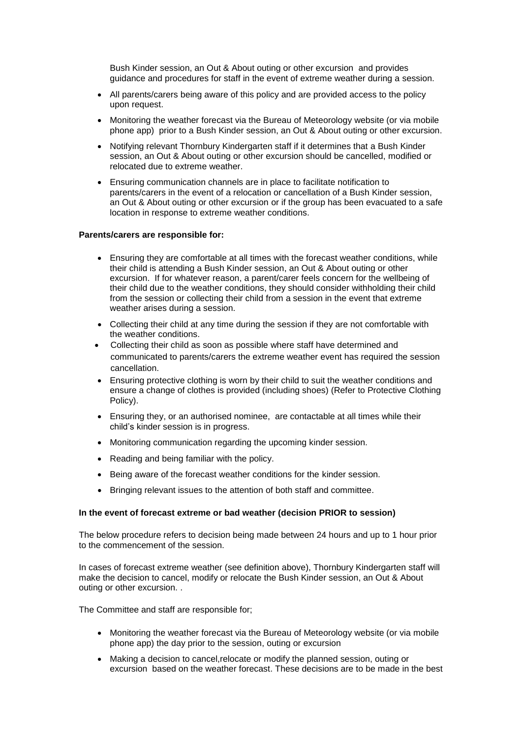Bush Kinder session, an Out & About outing or other excursion and provides guidance and procedures for staff in the event of extreme weather during a session.

- All parents/carers being aware of this policy and are provided access to the policy upon request.
- Monitoring the weather forecast via the Bureau of Meteorology website (or via mobile phone app) prior to a Bush Kinder session, an Out & About outing or other excursion.
- Notifying relevant Thornbury Kindergarten staff if it determines that a Bush Kinder session, an Out & About outing or other excursion should be cancelled, modified or relocated due to extreme weather.
- Ensuring communication channels are in place to facilitate notification to parents/carers in the event of a relocation or cancellation of a Bush Kinder session, an Out & About outing or other excursion or if the group has been evacuated to a safe location in response to extreme weather conditions.

#### **Parents/carers are responsible for:**

- Ensuring they are comfortable at all times with the forecast weather conditions, while their child is attending a Bush Kinder session, an Out & About outing or other excursion. If for whatever reason, a parent/carer feels concern for the wellbeing of their child due to the weather conditions, they should consider withholding their child from the session or collecting their child from a session in the event that extreme weather arises during a session.
- Collecting their child at any time during the session if they are not comfortable with the weather conditions.
- Collecting their child as soon as possible where staff have determined and communicated to parents/carers the extreme weather event has required the session cancellation.
- Ensuring protective clothing is worn by their child to suit the weather conditions and ensure a change of clothes is provided (including shoes) (Refer to Protective Clothing Policy).
- Ensuring they, or an authorised nominee, are contactable at all times while their child's kinder session is in progress.
- Monitoring communication regarding the upcoming kinder session.
- Reading and being familiar with the policy.
- Being aware of the forecast weather conditions for the kinder session.
- Bringing relevant issues to the attention of both staff and committee.

### **In the event of forecast extreme or bad weather (decision PRIOR to session)**

The below procedure refers to decision being made between 24 hours and up to 1 hour prior to the commencement of the session.

In cases of forecast extreme weather (see definition above), Thornbury Kindergarten staff will make the decision to cancel, modify or relocate the Bush Kinder session, an Out & About outing or other excursion. .

The Committee and staff are responsible for;

- Monitoring the weather forecast via the Bureau of Meteorology website (or via mobile phone app) the day prior to the session, outing or excursion
- Making a decision to cancel,relocate or modify the planned session, outing or excursion based on the weather forecast. These decisions are to be made in the best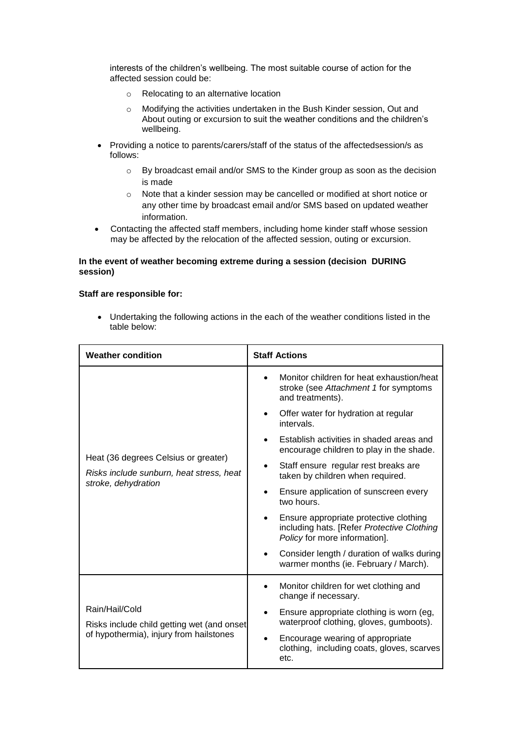interests of the children's wellbeing. The most suitable course of action for the affected session could be:

- o Relocating to an alternative location
- o Modifying the activities undertaken in the Bush Kinder session, Out and About outing or excursion to suit the weather conditions and the children's wellbeing.
- Providing a notice to parents/carers/staff of the status of the affectedsession/s as follows:
	- o By broadcast email and/or SMS to the Kinder group as soon as the decision is made
	- o Note that a kinder session may be cancelled or modified at short notice or any other time by broadcast email and/or SMS based on updated weather information.
- Contacting the affected staff members, including home kinder staff whose session may be affected by the relocation of the affected session, outing or excursion.

### **In the event of weather becoming extreme during a session (decision DURING session)**

### **Staff are responsible for:**

• Undertaking the following actions in the each of the weather conditions listed in the table below:

| <b>Weather condition</b>                                                                                | <b>Staff Actions</b>                                                                                                  |
|---------------------------------------------------------------------------------------------------------|-----------------------------------------------------------------------------------------------------------------------|
| Heat (36 degrees Celsius or greater)<br>Risks include sunburn, heat stress, heat<br>stroke, dehydration | Monitor children for heat exhaustion/heat<br>$\bullet$<br>stroke (see Attachment 1 for symptoms<br>and treatments).   |
|                                                                                                         | Offer water for hydration at regular<br>intervals.                                                                    |
|                                                                                                         | Establish activities in shaded areas and<br>encourage children to play in the shade.                                  |
|                                                                                                         | Staff ensure regular rest breaks are<br>taken by children when required.                                              |
|                                                                                                         | Ensure application of sunscreen every<br>two hours.                                                                   |
|                                                                                                         | Ensure appropriate protective clothing<br>including hats. [Refer Protective Clothing<br>Policy for more information]. |
|                                                                                                         | Consider length / duration of walks during<br>warmer months (ie. February / March).                                   |
| Rain/Hail/Cold<br>Risks include child getting wet (and onset<br>of hypothermia), injury from hailstones | Monitor children for wet clothing and<br>change if necessary.                                                         |
|                                                                                                         | Ensure appropriate clothing is worn (eg,<br>waterproof clothing, gloves, gumboots).                                   |
|                                                                                                         | Encourage wearing of appropriate<br>clothing, including coats, gloves, scarves<br>etc.                                |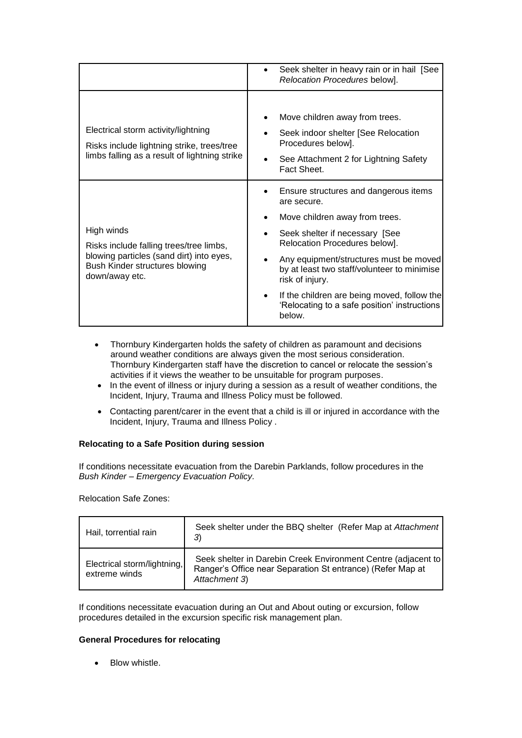|                                                                                                                                                       | Seek shelter in heavy rain or in hail [See<br>Relocation Procedures below].                                                                         |
|-------------------------------------------------------------------------------------------------------------------------------------------------------|-----------------------------------------------------------------------------------------------------------------------------------------------------|
| Electrical storm activity/lightning<br>Risks include lightning strike, trees/tree<br>limbs falling as a result of lightning strike                    | Move children away from trees.<br>Seek indoor shelter [See Relocation<br>Procedures below].<br>See Attachment 2 for Lightning Safety<br>Fact Sheet. |
| High winds<br>Risks include falling trees/tree limbs,<br>blowing particles (sand dirt) into eyes,<br>Bush Kinder structures blowing<br>down/away etc. | Ensure structures and dangerous items<br>are secure.                                                                                                |
|                                                                                                                                                       | Move children away from trees.                                                                                                                      |
|                                                                                                                                                       | Seek shelter if necessary [See<br>Relocation Procedures below].                                                                                     |
|                                                                                                                                                       | Any equipment/structures must be moved<br>by at least two staff/volunteer to minimise<br>risk of injury.                                            |
|                                                                                                                                                       | If the children are being moved, follow the<br>'Relocating to a safe position' instructions<br>below.                                               |

- Thornbury Kindergarten holds the safety of children as paramount and decisions around weather conditions are always given the most serious consideration. Thornbury Kindergarten staff have the discretion to cancel or relocate the session's activities if it views the weather to be unsuitable for program purposes.
- In the event of illness or injury during a session as a result of weather conditions, the Incident, Injury, Trauma and Illness Policy must be followed.
- Contacting parent/carer in the event that a child is ill or injured in accordance with the Incident, Injury, Trauma and Illness Policy .

### **Relocating to a Safe Position during session**

If conditions necessitate evacuation from the Darebin Parklands, follow procedures in the *Bush Kinder* – *Emergency Evacuation Policy.*

Relocation Safe Zones:

| Hail, torrential rain                        | Seek shelter under the BBQ shelter (Refer Map at Attachment)<br>3)                                                                           |
|----------------------------------------------|----------------------------------------------------------------------------------------------------------------------------------------------|
| Electrical storm/lightning,<br>extreme winds | Seek shelter in Darebin Creek Environment Centre (adjacent to<br>Ranger's Office near Separation St entrance) (Refer Map at<br>Attachment 3) |

If conditions necessitate evacuation during an Out and About outing or excursion, follow procedures detailed in the excursion specific risk management plan.

### **General Procedures for relocating**

• Blow whistle.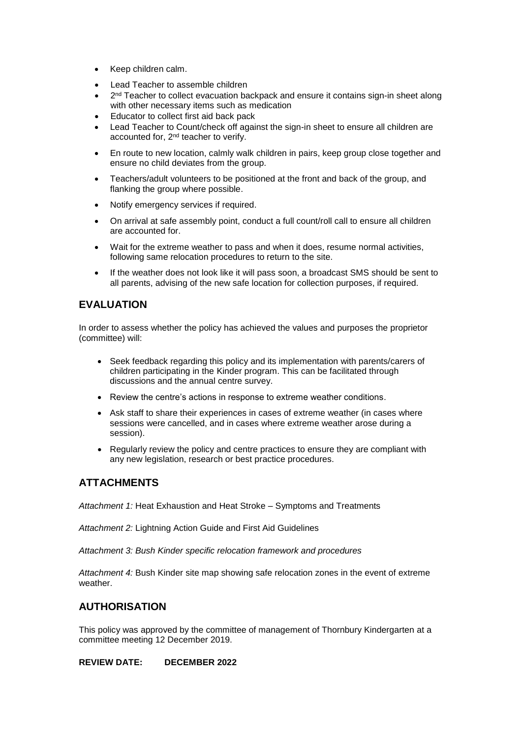- Keep children calm.
- Lead Teacher to assemble children
- $\bullet$   $2^{nd}$  Teacher to collect evacuation backpack and ensure it contains sign-in sheet along with other necessary items such as medication
- Educator to collect first aid back pack
- Lead Teacher to Count/check off against the sign-in sheet to ensure all children are accounted for, 2<sup>nd</sup> teacher to verify.
- En route to new location, calmly walk children in pairs, keep group close together and ensure no child deviates from the group.
- Teachers/adult volunteers to be positioned at the front and back of the group, and flanking the group where possible.
- Notify emergency services if required.
- On arrival at safe assembly point, conduct a full count/roll call to ensure all children are accounted for.
- Wait for the extreme weather to pass and when it does, resume normal activities, following same relocation procedures to return to the site.
- If the weather does not look like it will pass soon, a broadcast SMS should be sent to all parents, advising of the new safe location for collection purposes, if required.

# **EVALUATION**

In order to assess whether the policy has achieved the values and purposes the proprietor (committee) will:

- Seek feedback regarding this policy and its implementation with parents/carers of children participating in the Kinder program. This can be facilitated through discussions and the annual centre survey.
- Review the centre's actions in response to extreme weather conditions.
- Ask staff to share their experiences in cases of extreme weather (in cases where sessions were cancelled, and in cases where extreme weather arose during a session).
- Regularly review the policy and centre practices to ensure they are compliant with any new legislation, research or best practice procedures.

## **ATTACHMENTS**

*Attachment 1:* Heat Exhaustion and Heat Stroke – Symptoms and Treatments

*Attachment 2:* Lightning Action Guide and First Aid Guidelines

*Attachment 3: Bush Kinder specific relocation framework and procedures*

*Attachment 4:* Bush Kinder site map showing safe relocation zones in the event of extreme weather.

## **AUTHORISATION**

This policy was approved by the committee of management of Thornbury Kindergarten at a committee meeting 12 December 2019.

**REVIEW DATE: DECEMBER 2022**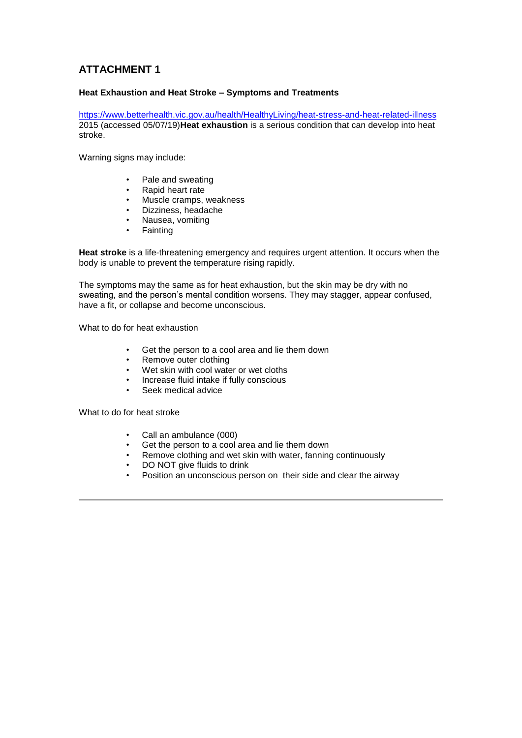### **Heat Exhaustion and Heat Stroke – Symptoms and Treatments**

<https://www.betterhealth.vic.gov.au/health/HealthyLiving/heat-stress-and-heat-related-illness> 2015 (accessed 05/07/19)**Heat exhaustion** is a serious condition that can develop into heat stroke.

Warning signs may include:

- Pale and sweating
- Rapid heart rate
- Muscle cramps, weakness
- Dizziness, headache
- Nausea, vomiting
- **Fainting**

**Heat stroke** is a life-threatening emergency and requires urgent attention. It occurs when the body is unable to prevent the temperature rising rapidly.

The symptoms may the same as for heat exhaustion, but the skin may be dry with no sweating, and the person's mental condition worsens. They may stagger, appear confused, have a fit, or collapse and become unconscious.

What to do for heat exhaustion

- Get the person to a cool area and lie them down
- Remove outer clothing
- Wet skin with cool water or wet cloths
- Increase fluid intake if fully conscious
- Seek medical advice

What to do for heat stroke

- Call an ambulance (000)
- Get the person to a cool area and lie them down
- Remove clothing and wet skin with water, fanning continuously
- DO NOT give fluids to drink
- Position an unconscious person on their side and clear the airway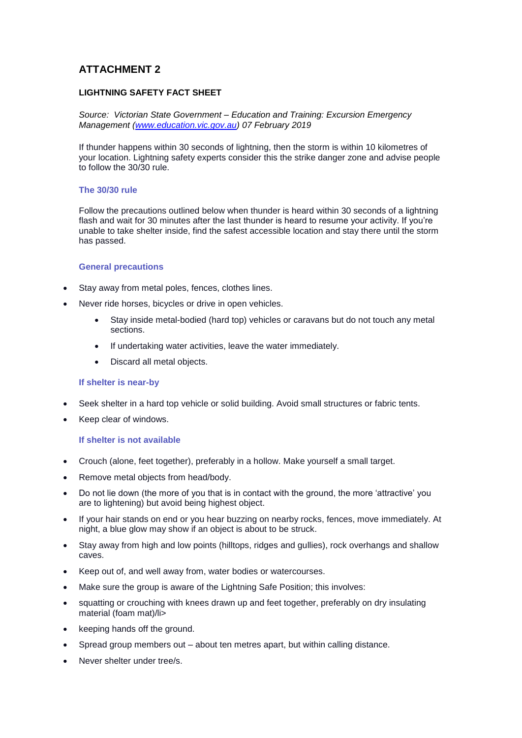### **LIGHTNING SAFETY FACT SHEET**

*Source: Victorian State Government – Education and Training: Excursion Emergency Management [\(www.education.vic.gov.au\)](http://www.education.vic.gov.au/) 07 February 2019*

If thunder happens within 30 seconds of lightning, then the storm is within 10 kilometres of your location. Lightning safety experts consider this the strike danger zone and advise people to follow the 30/30 rule.

### **The 30/30 rule**

Follow the precautions outlined below when thunder is heard within 30 seconds of a lightning flash and wait for 30 minutes after the last thunder is heard to resume your activity. If you're unable to take shelter inside, find the safest accessible location and stay there until the storm has passed.

#### **General precautions**

- Stay away from metal poles, fences, clothes lines.
- Never ride horses, bicycles or drive in open vehicles.
	- Stay inside metal-bodied (hard top) vehicles or caravans but do not touch any metal sections.
	- If undertaking water activities, leave the water immediately.
	- Discard all metal objects.

#### **If shelter is near-by**

- Seek shelter in a hard top vehicle or solid building. Avoid small structures or fabric tents.
- Keep clear of windows.

#### **If shelter is not available**

- Crouch (alone, feet together), preferably in a hollow. Make yourself a small target.
- Remove metal objects from head/body.
- Do not lie down (the more of you that is in contact with the ground, the more 'attractive' you are to lightening) but avoid being highest object.
- If your hair stands on end or you hear buzzing on nearby rocks, fences, move immediately. At night, a blue glow may show if an object is about to be struck.
- Stay away from high and low points (hilltops, ridges and gullies), rock overhangs and shallow caves.
- Keep out of, and well away from, water bodies or watercourses.
- Make sure the group is aware of the Lightning Safe Position; this involves:
- squatting or crouching with knees drawn up and feet together, preferably on dry insulating material (foam mat)/li>
- keeping hands off the ground.
- Spread group members out about ten metres apart, but within calling distance.
- Never shelter under tree/s.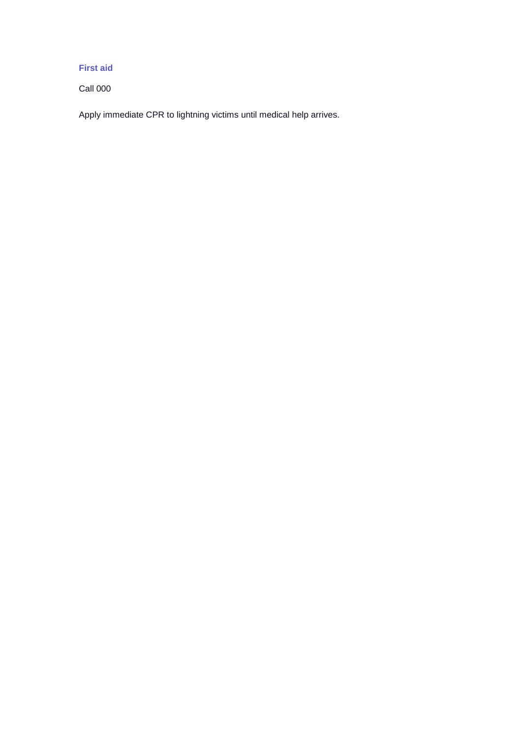## **First aid**

Call 000

Apply immediate CPR to lightning victims until medical help arrives.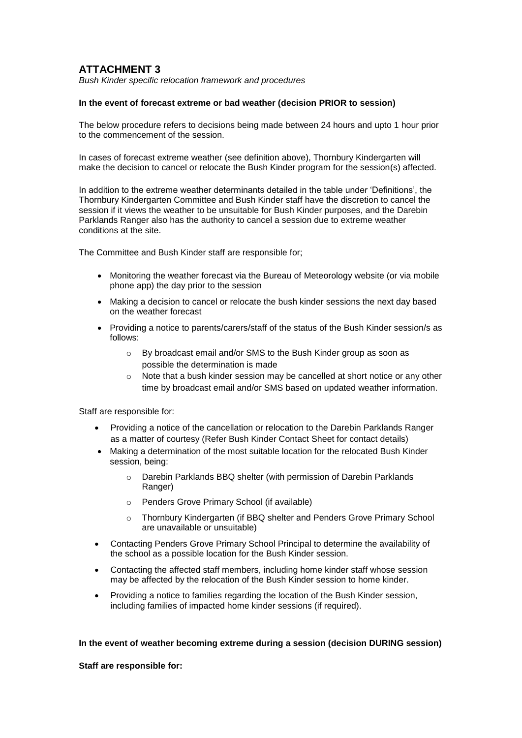*Bush Kinder specific relocation framework and procedures*

### **In the event of forecast extreme or bad weather (decision PRIOR to session)**

The below procedure refers to decisions being made between 24 hours and upto 1 hour prior to the commencement of the session.

In cases of forecast extreme weather (see definition above), Thornbury Kindergarten will make the decision to cancel or relocate the Bush Kinder program for the session(s) affected.

In addition to the extreme weather determinants detailed in the table under 'Definitions', the Thornbury Kindergarten Committee and Bush Kinder staff have the discretion to cancel the session if it views the weather to be unsuitable for Bush Kinder purposes, and the Darebin Parklands Ranger also has the authority to cancel a session due to extreme weather conditions at the site.

The Committee and Bush Kinder staff are responsible for;

- Monitoring the weather forecast via the Bureau of Meteorology website (or via mobile phone app) the day prior to the session
- Making a decision to cancel or relocate the bush kinder sessions the next day based on the weather forecast
- Providing a notice to parents/carers/staff of the status of the Bush Kinder session/s as follows:
	- o By broadcast email and/or SMS to the Bush Kinder group as soon as possible the determination is made
	- $\circ$  Note that a bush kinder session may be cancelled at short notice or any other time by broadcast email and/or SMS based on updated weather information.

Staff are responsible for:

- Providing a notice of the cancellation or relocation to the Darebin Parklands Ranger as a matter of courtesy (Refer Bush Kinder Contact Sheet for contact details)
- Making a determination of the most suitable location for the relocated Bush Kinder session, being:
	- o Darebin Parklands BBQ shelter (with permission of Darebin Parklands Ranger)
	- o Penders Grove Primary School (if available)
	- o Thornbury Kindergarten (if BBQ shelter and Penders Grove Primary School are unavailable or unsuitable)
- Contacting Penders Grove Primary School Principal to determine the availability of the school as a possible location for the Bush Kinder session.
- Contacting the affected staff members, including home kinder staff whose session may be affected by the relocation of the Bush Kinder session to home kinder.
- Providing a notice to families regarding the location of the Bush Kinder session, including families of impacted home kinder sessions (if required).

### **In the event of weather becoming extreme during a session (decision DURING session)**

**Staff are responsible for:**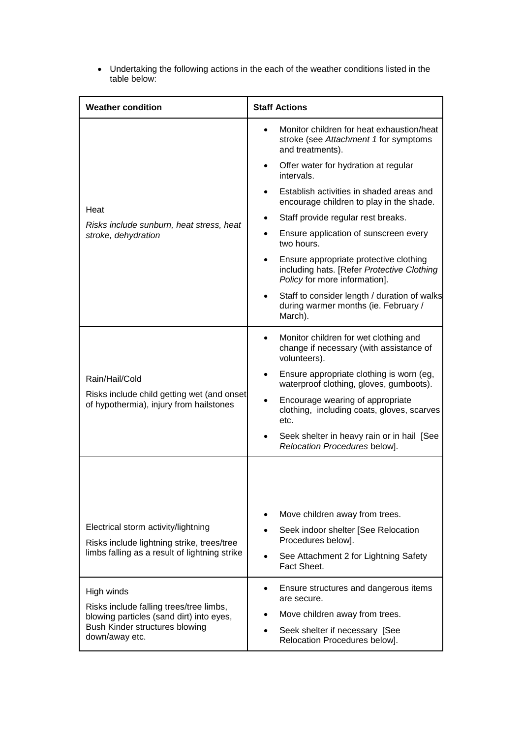| <b>Weather condition</b>                                                                                                                              | <b>Staff Actions</b>                                                                                                  |
|-------------------------------------------------------------------------------------------------------------------------------------------------------|-----------------------------------------------------------------------------------------------------------------------|
|                                                                                                                                                       | Monitor children for heat exhaustion/heat<br>$\bullet$<br>stroke (see Attachment 1 for symptoms<br>and treatments).   |
|                                                                                                                                                       | Offer water for hydration at regular<br>intervals.                                                                    |
| Heat                                                                                                                                                  | Establish activities in shaded areas and<br>encourage children to play in the shade.                                  |
|                                                                                                                                                       | Staff provide regular rest breaks.                                                                                    |
| Risks include sunburn, heat stress, heat<br>stroke, dehydration                                                                                       | Ensure application of sunscreen every<br>$\bullet$<br>two hours.                                                      |
|                                                                                                                                                       | Ensure appropriate protective clothing<br>including hats. [Refer Protective Clothing<br>Policy for more information]. |
|                                                                                                                                                       | Staff to consider length / duration of walks<br>during warmer months (ie. February /<br>March).                       |
|                                                                                                                                                       | Monitor children for wet clothing and<br>٠<br>change if necessary (with assistance of<br>volunteers).                 |
| Rain/Hail/Cold<br>Risks include child getting wet (and onset<br>of hypothermia), injury from hailstones                                               | Ensure appropriate clothing is worn (eg,<br>waterproof clothing, gloves, gumboots).                                   |
|                                                                                                                                                       | Encourage wearing of appropriate<br>clothing, including coats, gloves, scarves<br>etc.                                |
|                                                                                                                                                       | Seek shelter in heavy rain or in hail [See<br>Relocation Procedures below].                                           |
|                                                                                                                                                       |                                                                                                                       |
| Electrical storm activity/lightning                                                                                                                   | Move children away from trees.<br>$\bullet$                                                                           |
| Risks include lightning strike, trees/tree                                                                                                            | Seek indoor shelter [See Relocation<br>$\bullet$<br>Procedures below].                                                |
| limbs falling as a result of lightning strike                                                                                                         | See Attachment 2 for Lightning Safety<br>$\bullet$<br>Fact Sheet.                                                     |
| High winds<br>Risks include falling trees/tree limbs,<br>blowing particles (sand dirt) into eyes,<br>Bush Kinder structures blowing<br>down/away etc. | Ensure structures and dangerous items<br>٠<br>are secure.                                                             |
|                                                                                                                                                       | Move children away from trees.<br>٠                                                                                   |
|                                                                                                                                                       | Seek shelter if necessary [See<br>$\bullet$<br>Relocation Procedures below].                                          |

• Undertaking the following actions in the each of the weather conditions listed in the table below: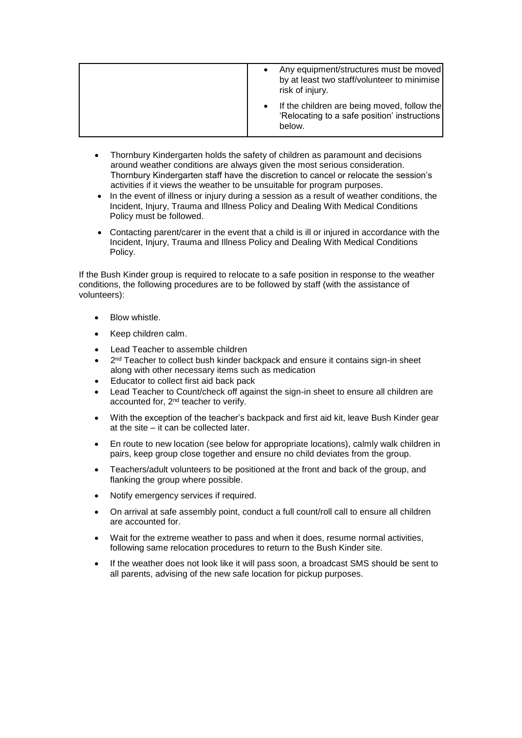| Any equipment/structures must be moved<br>by at least two staff/volunteer to minimise<br>risk of injury. |
|----------------------------------------------------------------------------------------------------------|
| If the children are being moved, follow the<br>'Relocating to a safe position' instructions<br>below.    |

- Thornbury Kindergarten holds the safety of children as paramount and decisions around weather conditions are always given the most serious consideration. Thornbury Kindergarten staff have the discretion to cancel or relocate the session's activities if it views the weather to be unsuitable for program purposes.
- In the event of illness or injury during a session as a result of weather conditions, the Incident, Injury, Trauma and Illness Policy and Dealing With Medical Conditions Policy must be followed.
- Contacting parent/carer in the event that a child is ill or injured in accordance with the Incident, Injury, Trauma and Illness Policy and Dealing With Medical Conditions Policy.

If the Bush Kinder group is required to relocate to a safe position in response to the weather conditions, the following procedures are to be followed by staff (with the assistance of volunteers):

- Blow whistle.
- Keep children calm.
- Lead Teacher to assemble children
- $\bullet$   $2^{nd}$  Teacher to collect bush kinder backpack and ensure it contains sign-in sheet along with other necessary items such as medication
- Educator to collect first aid back pack
- Lead Teacher to Count/check off against the sign-in sheet to ensure all children are accounted for, 2nd teacher to verify.
- With the exception of the teacher's backpack and first aid kit, leave Bush Kinder gear at the site – it can be collected later.
- En route to new location (see below for appropriate locations), calmly walk children in pairs, keep group close together and ensure no child deviates from the group.
- Teachers/adult volunteers to be positioned at the front and back of the group, and flanking the group where possible.
- Notify emergency services if required.
- On arrival at safe assembly point, conduct a full count/roll call to ensure all children are accounted for.
- Wait for the extreme weather to pass and when it does, resume normal activities, following same relocation procedures to return to the Bush Kinder site.
- If the weather does not look like it will pass soon, a broadcast SMS should be sent to all parents, advising of the new safe location for pickup purposes.